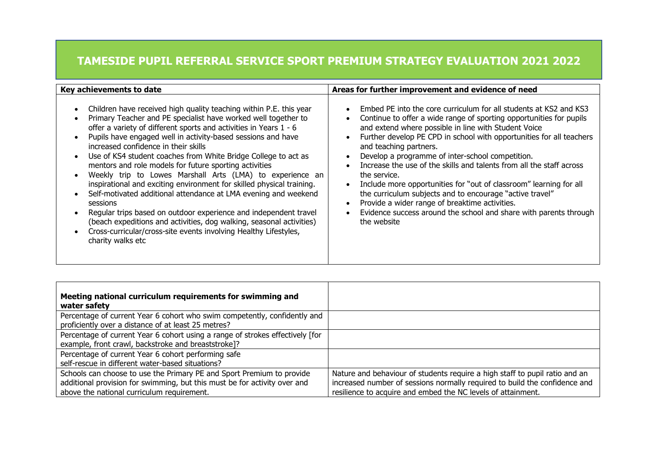## **TAMESIDE PUPIL REFERRAL SERVICE SPORT PREMIUM STRATEGY EVALUATION 2021 2022**

| Key achievements to date                                                                                                                                                                                                                                                                                                                                                                                                                                                                                                                                                                                                                                                                                                                                                                                                                                                                                | Areas for further improvement and evidence of need                                                                                                                                                                                                                                                                                                                                                                                                                                                                                                                                                                                                                                                                     |  |  |
|---------------------------------------------------------------------------------------------------------------------------------------------------------------------------------------------------------------------------------------------------------------------------------------------------------------------------------------------------------------------------------------------------------------------------------------------------------------------------------------------------------------------------------------------------------------------------------------------------------------------------------------------------------------------------------------------------------------------------------------------------------------------------------------------------------------------------------------------------------------------------------------------------------|------------------------------------------------------------------------------------------------------------------------------------------------------------------------------------------------------------------------------------------------------------------------------------------------------------------------------------------------------------------------------------------------------------------------------------------------------------------------------------------------------------------------------------------------------------------------------------------------------------------------------------------------------------------------------------------------------------------------|--|--|
| Children have received high quality teaching within P.E. this year<br>Primary Teacher and PE specialist have worked well together to<br>offer a variety of different sports and activities in Years 1 - 6<br>Pupils have engaged well in activity-based sessions and have<br>increased confidence in their skills<br>Use of KS4 student coaches from White Bridge College to act as<br>mentors and role models for future sporting activities<br>Weekly trip to Lowes Marshall Arts (LMA) to experience an<br>inspirational and exciting environment for skilled physical training.<br>Self-motivated additional attendance at LMA evening and weekend<br>sessions<br>Regular trips based on outdoor experience and independent travel<br>(beach expeditions and activities, dog walking, seasonal activities)<br>Cross-curricular/cross-site events involving Healthy Lifestyles,<br>charity walks etc | Embed PE into the core curriculum for all students at KS2 and KS3<br>Continue to offer a wide range of sporting opportunities for pupils<br>and extend where possible in line with Student Voice<br>Further develop PE CPD in school with opportunities for all teachers<br>and teaching partners.<br>Develop a programme of inter-school competition.<br>Increase the use of the skills and talents from all the staff across<br>the service.<br>Include more opportunities for "out of classroom" learning for all<br>the curriculum subjects and to encourage "active travel"<br>Provide a wider range of breaktime activities.<br>Evidence success around the school and share with parents through<br>the website |  |  |

| Meeting national curriculum requirements for swimming and<br>water safety                                                                                                                        |                                                                                                                                                                                                                           |
|--------------------------------------------------------------------------------------------------------------------------------------------------------------------------------------------------|---------------------------------------------------------------------------------------------------------------------------------------------------------------------------------------------------------------------------|
| Percentage of current Year 6 cohort who swim competently, confidently and<br>proficiently over a distance of at least 25 metres?                                                                 |                                                                                                                                                                                                                           |
| Percentage of current Year 6 cohort using a range of strokes effectively [for<br>example, front crawl, backstroke and breaststroke]?                                                             |                                                                                                                                                                                                                           |
| Percentage of current Year 6 cohort performing safe<br>self-rescue in different water-based situations?                                                                                          |                                                                                                                                                                                                                           |
| Schools can choose to use the Primary PE and Sport Premium to provide<br>additional provision for swimming, but this must be for activity over and<br>above the national curriculum requirement. | Nature and behaviour of students require a high staff to pupil ratio and an<br>increased number of sessions normally required to build the confidence and<br>resilience to acquire and embed the NC levels of attainment. |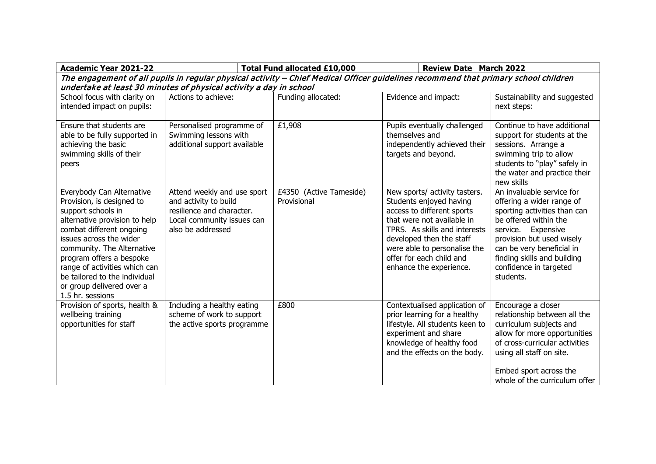| <b>Academic Year 2021-22</b>                                                                                                                                                                                                                                                                                                                      |                                                                                                                                      | <b>Total Fund allocated £10,000</b><br><b>Review Date March 2022</b> |                                                                                                                                                                                                                                                                          |                                                                                                                                                                                                                                                                       |  |  |  |
|---------------------------------------------------------------------------------------------------------------------------------------------------------------------------------------------------------------------------------------------------------------------------------------------------------------------------------------------------|--------------------------------------------------------------------------------------------------------------------------------------|----------------------------------------------------------------------|--------------------------------------------------------------------------------------------------------------------------------------------------------------------------------------------------------------------------------------------------------------------------|-----------------------------------------------------------------------------------------------------------------------------------------------------------------------------------------------------------------------------------------------------------------------|--|--|--|
| The engagement of all pupils in regular physical activity - Chief Medical Officer guidelines recommend that primary school children<br>undertake at least 30 minutes of physical activity a day in school                                                                                                                                         |                                                                                                                                      |                                                                      |                                                                                                                                                                                                                                                                          |                                                                                                                                                                                                                                                                       |  |  |  |
| School focus with clarity on<br>intended impact on pupils:                                                                                                                                                                                                                                                                                        | Actions to achieve:                                                                                                                  | Funding allocated:                                                   | Evidence and impact:                                                                                                                                                                                                                                                     | Sustainability and suggested<br>next steps:                                                                                                                                                                                                                           |  |  |  |
| Ensure that students are<br>able to be fully supported in<br>achieving the basic<br>swimming skills of their<br>peers                                                                                                                                                                                                                             | Personalised programme of<br>Swimming lessons with<br>additional support available                                                   | £1,908                                                               | Pupils eventually challenged<br>themselves and<br>independently achieved their<br>targets and beyond.                                                                                                                                                                    | Continue to have additional<br>support for students at the<br>sessions. Arrange a<br>swimming trip to allow<br>students to "play" safely in<br>the water and practice their<br>new skills                                                                             |  |  |  |
| Everybody Can Alternative<br>Provision, is designed to<br>support schools in<br>alternative provision to help<br>combat different ongoing<br>issues across the wider<br>community. The Alternative<br>program offers a bespoke<br>range of activities which can<br>be tailored to the individual<br>or group delivered over a<br>1.5 hr. sessions | Attend weekly and use sport<br>and activity to build<br>resilience and character.<br>Local community issues can<br>also be addressed | £4350 (Active Tameside)<br>Provisional                               | New sports/ activity tasters.<br>Students enjoyed having<br>access to different sports<br>that were not available in<br>TPRS. As skills and interests<br>developed then the staff<br>were able to personalise the<br>offer for each child and<br>enhance the experience. | An invaluable service for<br>offering a wider range of<br>sporting activities than can<br>be offered within the<br>service. Expensive<br>provision but used wisely<br>can be very beneficial in<br>finding skills and building<br>confidence in targeted<br>students. |  |  |  |
| Provision of sports, health &<br>wellbeing training<br>opportunities for staff                                                                                                                                                                                                                                                                    | Including a healthy eating<br>scheme of work to support<br>the active sports programme                                               | £800                                                                 | Contextualised application of<br>prior learning for a healthy<br>lifestyle. All students keen to<br>experiment and share<br>knowledge of healthy food<br>and the effects on the body.                                                                                    | Encourage a closer<br>relationship between all the<br>curriculum subjects and<br>allow for more opportunities<br>of cross-curricular activities<br>using all staff on site.<br>Embed sport across the<br>whole of the curriculum offer                                |  |  |  |